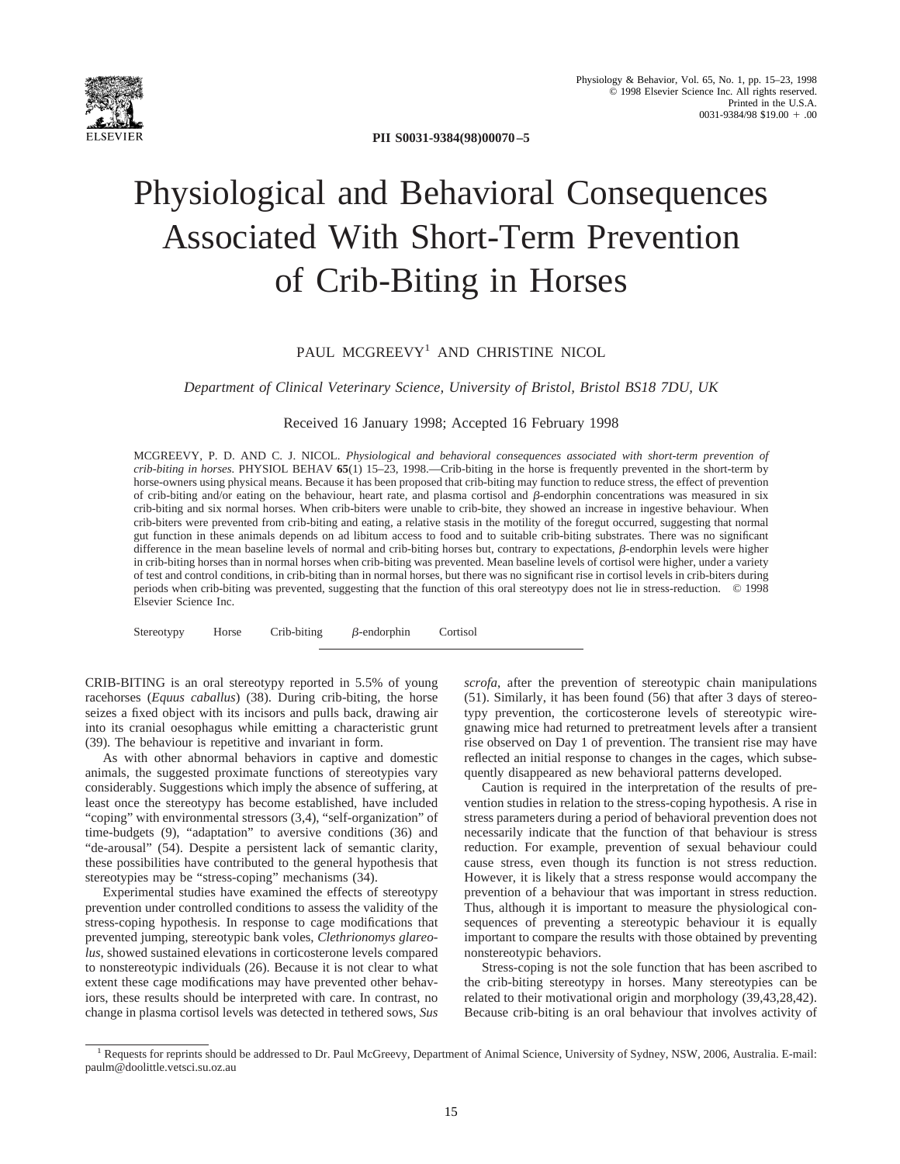

**PII S0031-9384(98)00070–5**

# Physiological and Behavioral Consequences Associated With Short-Term Prevention of Crib-Biting in Horses

## PAUL MCGREEVY<sup>1</sup> AND CHRISTINE NICOL

*Department of Clinical Veterinary Science, University of Bristol, Bristol BS18 7DU, UK*

## Received 16 January 1998; Accepted 16 February 1998

MCGREEVY, P. D. AND C. J. NICOL. *Physiological and behavioral consequences associated with short-term prevention of crib-biting in horses.* PHYSIOL BEHAV **65**(1) 15–23, 1998.—Crib-biting in the horse is frequently prevented in the short-term by horse-owners using physical means. Because it has been proposed that crib-biting may function to reduce stress, the effect of prevention of crib-biting and/or eating on the behaviour, heart rate, and plasma cortisol and  $\beta$ -endorphin concentrations was measured in six crib-biting and six normal horses. When crib-biters were unable to crib-bite, they showed an increase in ingestive behaviour. When crib-biters were prevented from crib-biting and eating, a relative stasis in the motility of the foregut occurred, suggesting that normal gut function in these animals depends on ad libitum access to food and to suitable crib-biting substrates. There was no significant difference in the mean baseline levels of normal and crib-biting horses but, contrary to expectations,  $\beta$ -endorphin levels were higher in crib-biting horses than in normal horses when crib-biting was prevented. Mean baseline levels of cortisol were higher, under a variety of test and control conditions, in crib-biting than in normal horses, but there was no significant rise in cortisol levels in crib-biters during periods when crib-biting was prevented, suggesting that the function of this oral stereotypy does not lie in stress-reduction. © 1998 Elsevier Science Inc.

 $Stereotypy$  Horse Crib-biting  $\beta$ -endorphin Cortisol

CRIB-BITING is an oral stereotypy reported in 5.5% of young racehorses (*Equus caballus*) (38). During crib-biting, the horse seizes a fixed object with its incisors and pulls back, drawing air into its cranial oesophagus while emitting a characteristic grunt (39). The behaviour is repetitive and invariant in form.

As with other abnormal behaviors in captive and domestic animals, the suggested proximate functions of stereotypies vary considerably. Suggestions which imply the absence of suffering, at least once the stereotypy has become established, have included "coping" with environmental stressors (3,4), "self-organization" of time-budgets (9), "adaptation" to aversive conditions (36) and "de-arousal" (54). Despite a persistent lack of semantic clarity, these possibilities have contributed to the general hypothesis that stereotypies may be "stress-coping" mechanisms (34).

Experimental studies have examined the effects of stereotypy prevention under controlled conditions to assess the validity of the stress-coping hypothesis. In response to cage modifications that prevented jumping, stereotypic bank voles, *Clethrionomys glareolus*, showed sustained elevations in corticosterone levels compared to nonstereotypic individuals (26). Because it is not clear to what extent these cage modifications may have prevented other behaviors, these results should be interpreted with care. In contrast, no change in plasma cortisol levels was detected in tethered sows, *Sus*

*scrofa*, after the prevention of stereotypic chain manipulations (51). Similarly, it has been found (56) that after 3 days of stereotypy prevention, the corticosterone levels of stereotypic wiregnawing mice had returned to pretreatment levels after a transient rise observed on Day 1 of prevention. The transient rise may have reflected an initial response to changes in the cages, which subsequently disappeared as new behavioral patterns developed.

Caution is required in the interpretation of the results of prevention studies in relation to the stress-coping hypothesis. A rise in stress parameters during a period of behavioral prevention does not necessarily indicate that the function of that behaviour is stress reduction. For example, prevention of sexual behaviour could cause stress, even though its function is not stress reduction. However, it is likely that a stress response would accompany the prevention of a behaviour that was important in stress reduction. Thus, although it is important to measure the physiological consequences of preventing a stereotypic behaviour it is equally important to compare the results with those obtained by preventing nonstereotypic behaviors.

Stress-coping is not the sole function that has been ascribed to the crib-biting stereotypy in horses. Many stereotypies can be related to their motivational origin and morphology (39,43,28,42). Because crib-biting is an oral behaviour that involves activity of

<sup>&</sup>lt;sup>1</sup> Requests for reprints should be addressed to Dr. Paul McGreevy, Department of Animal Science, University of Sydney, NSW, 2006, Australia. E-mail: paulm@doolittle.vetsci.su.oz.au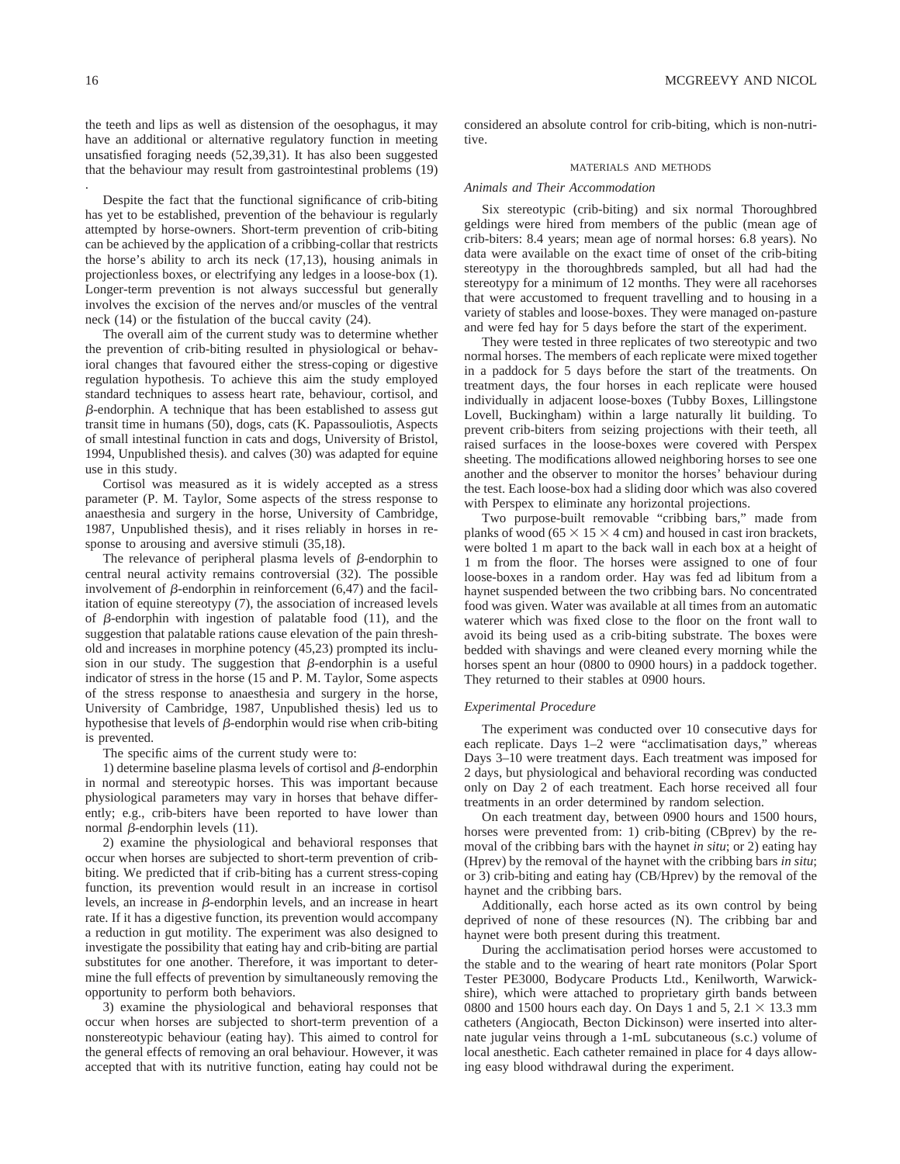the teeth and lips as well as distension of the oesophagus, it may have an additional or alternative regulatory function in meeting unsatisfied foraging needs (52,39,31). It has also been suggested that the behaviour may result from gastrointestinal problems (19) .

Despite the fact that the functional significance of crib-biting has yet to be established, prevention of the behaviour is regularly attempted by horse-owners. Short-term prevention of crib-biting can be achieved by the application of a cribbing-collar that restricts the horse's ability to arch its neck (17,13), housing animals in projectionless boxes, or electrifying any ledges in a loose-box (1). Longer-term prevention is not always successful but generally involves the excision of the nerves and/or muscles of the ventral neck (14) or the fistulation of the buccal cavity (24).

The overall aim of the current study was to determine whether the prevention of crib-biting resulted in physiological or behavioral changes that favoured either the stress-coping or digestive regulation hypothesis. To achieve this aim the study employed standard techniques to assess heart rate, behaviour, cortisol, and  $\beta$ -endorphin. A technique that has been established to assess gut transit time in humans (50), dogs, cats (K. Papassouliotis, Aspects of small intestinal function in cats and dogs, University of Bristol, 1994, Unpublished thesis). and calves (30) was adapted for equine use in this study.

Cortisol was measured as it is widely accepted as a stress parameter (P. M. Taylor, Some aspects of the stress response to anaesthesia and surgery in the horse, University of Cambridge, 1987, Unpublished thesis), and it rises reliably in horses in response to arousing and aversive stimuli (35,18).

The relevance of peripheral plasma levels of  $\beta$ -endorphin to central neural activity remains controversial (32). The possible involvement of  $\beta$ -endorphin in reinforcement (6,47) and the facilitation of equine stereotypy (7), the association of increased levels of  $\beta$ -endorphin with ingestion of palatable food (11), and the suggestion that palatable rations cause elevation of the pain threshold and increases in morphine potency (45,23) prompted its inclusion in our study. The suggestion that  $\beta$ -endorphin is a useful indicator of stress in the horse (15 and P. M. Taylor, Some aspects of the stress response to anaesthesia and surgery in the horse, University of Cambridge, 1987, Unpublished thesis) led us to hypothesise that levels of  $\beta$ -endorphin would rise when crib-biting is prevented.

The specific aims of the current study were to:

1) determine baseline plasma levels of cortisol and  $\beta$ -endorphin in normal and stereotypic horses. This was important because physiological parameters may vary in horses that behave differently; e.g., crib-biters have been reported to have lower than normal  $\beta$ -endorphin levels (11).

2) examine the physiological and behavioral responses that occur when horses are subjected to short-term prevention of cribbiting. We predicted that if crib-biting has a current stress-coping function, its prevention would result in an increase in cortisol levels, an increase in  $\beta$ -endorphin levels, and an increase in heart rate. If it has a digestive function, its prevention would accompany a reduction in gut motility. The experiment was also designed to investigate the possibility that eating hay and crib-biting are partial substitutes for one another. Therefore, it was important to determine the full effects of prevention by simultaneously removing the opportunity to perform both behaviors.

3) examine the physiological and behavioral responses that occur when horses are subjected to short-term prevention of a nonstereotypic behaviour (eating hay). This aimed to control for the general effects of removing an oral behaviour. However, it was accepted that with its nutritive function, eating hay could not be considered an absolute control for crib-biting, which is non-nutritive.

## MATERIALS AND METHODS

## *Animals and Their Accommodation*

Six stereotypic (crib-biting) and six normal Thoroughbred geldings were hired from members of the public (mean age of crib-biters: 8.4 years; mean age of normal horses: 6.8 years). No data were available on the exact time of onset of the crib-biting stereotypy in the thoroughbreds sampled, but all had had the stereotypy for a minimum of 12 months. They were all racehorses that were accustomed to frequent travelling and to housing in a variety of stables and loose-boxes. They were managed on-pasture and were fed hay for 5 days before the start of the experiment.

They were tested in three replicates of two stereotypic and two normal horses. The members of each replicate were mixed together in a paddock for 5 days before the start of the treatments. On treatment days, the four horses in each replicate were housed individually in adjacent loose-boxes (Tubby Boxes, Lillingstone Lovell, Buckingham) within a large naturally lit building. To prevent crib-biters from seizing projections with their teeth, all raised surfaces in the loose-boxes were covered with Perspex sheeting. The modifications allowed neighboring horses to see one another and the observer to monitor the horses' behaviour during the test. Each loose-box had a sliding door which was also covered with Perspex to eliminate any horizontal projections.

Two purpose-built removable "cribbing bars," made from planks of wood (65  $\times$  15  $\times$  4 cm) and housed in cast iron brackets, were bolted 1 m apart to the back wall in each box at a height of 1 m from the floor. The horses were assigned to one of four loose-boxes in a random order. Hay was fed ad libitum from a haynet suspended between the two cribbing bars. No concentrated food was given. Water was available at all times from an automatic waterer which was fixed close to the floor on the front wall to avoid its being used as a crib-biting substrate. The boxes were bedded with shavings and were cleaned every morning while the horses spent an hour (0800 to 0900 hours) in a paddock together. They returned to their stables at 0900 hours.

## *Experimental Procedure*

The experiment was conducted over 10 consecutive days for each replicate. Days 1–2 were "acclimatisation days," whereas Days 3–10 were treatment days. Each treatment was imposed for 2 days, but physiological and behavioral recording was conducted only on Day 2 of each treatment. Each horse received all four treatments in an order determined by random selection.

On each treatment day, between 0900 hours and 1500 hours, horses were prevented from: 1) crib-biting (CBprev) by the removal of the cribbing bars with the haynet *in situ*; or 2) eating hay (Hprev) by the removal of the haynet with the cribbing bars *in situ*; or 3) crib-biting and eating hay (CB/Hprev) by the removal of the haynet and the cribbing bars.

Additionally, each horse acted as its own control by being deprived of none of these resources (N). The cribbing bar and haynet were both present during this treatment.

During the acclimatisation period horses were accustomed to the stable and to the wearing of heart rate monitors (Polar Sport Tester PE3000, Bodycare Products Ltd., Kenilworth, Warwickshire), which were attached to proprietary girth bands between 0800 and 1500 hours each day. On Days 1 and 5,  $2.1 \times 13.3$  mm catheters (Angiocath, Becton Dickinson) were inserted into alternate jugular veins through a 1-mL subcutaneous (s.c.) volume of local anesthetic. Each catheter remained in place for 4 days allowing easy blood withdrawal during the experiment.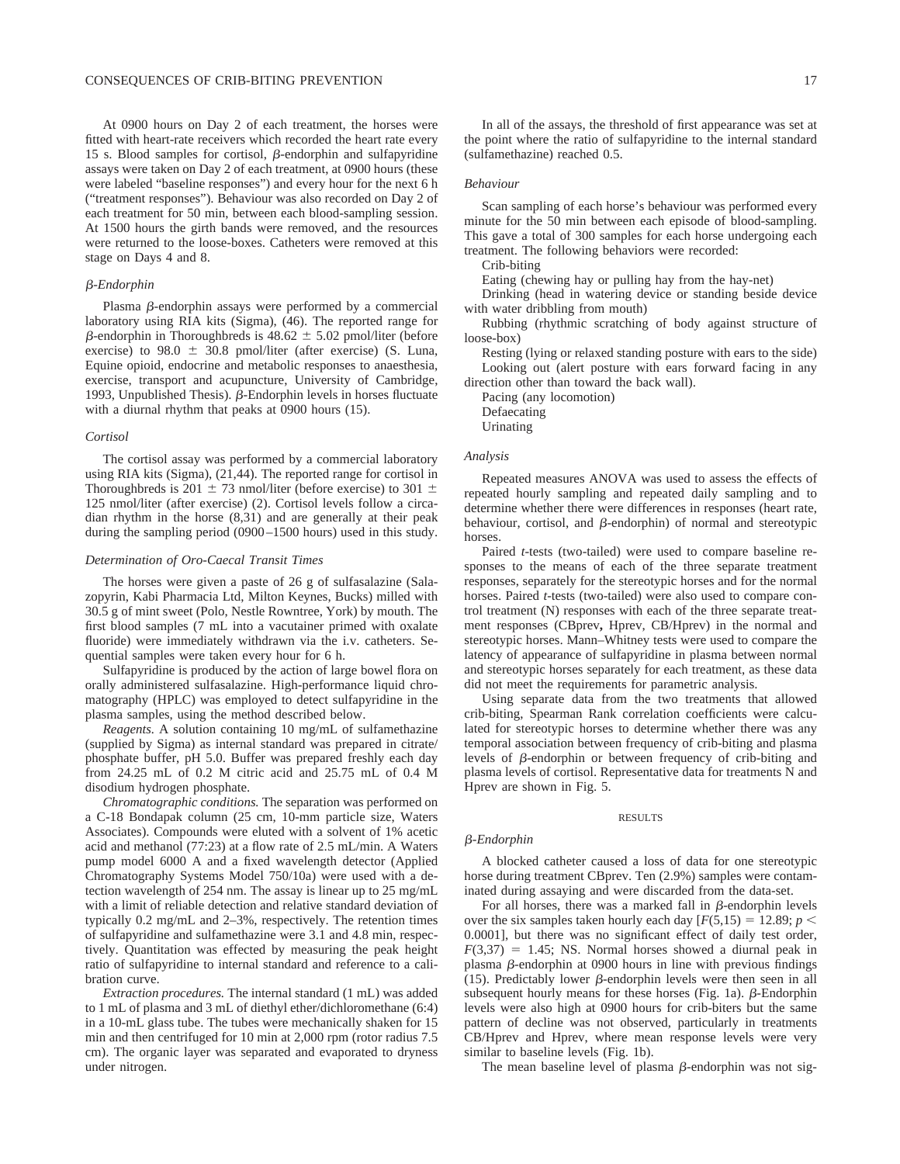At 0900 hours on Day 2 of each treatment, the horses were fitted with heart-rate receivers which recorded the heart rate every 15 s. Blood samples for cortisol,  $\beta$ -endorphin and sulfapyridine assays were taken on Day 2 of each treatment, at 0900 hours (these were labeled "baseline responses") and every hour for the next 6 h ("treatment responses"). Behaviour was also recorded on Day 2 of each treatment for 50 min, between each blood-sampling session. At 1500 hours the girth bands were removed, and the resources were returned to the loose-boxes. Catheters were removed at this stage on Days 4 and 8.

## b*-Endorphin*

Plasma  $\beta$ -endorphin assays were performed by a commercial laboratory using RIA kits (Sigma), (46). The reported range for  $\beta$ -endorphin in Thoroughbreds is 48.62  $\pm$  5.02 pmol/liter (before exercise) to 98.0  $\pm$  30.8 pmol/liter (after exercise) (S. Luna, Equine opioid, endocrine and metabolic responses to anaesthesia, exercise, transport and acupuncture, University of Cambridge, 1993, Unpublished Thesis).  $\beta$ -Endorphin levels in horses fluctuate with a diurnal rhythm that peaks at 0900 hours (15).

#### *Cortisol*

The cortisol assay was performed by a commercial laboratory using RIA kits (Sigma), (21,44). The reported range for cortisol in Thoroughbreds is 201  $\pm$  73 nmol/liter (before exercise) to 301  $\pm$ 125 nmol/liter (after exercise) (2). Cortisol levels follow a circadian rhythm in the horse (8,31) and are generally at their peak during the sampling period (0900–1500 hours) used in this study.

#### *Determination of Oro-Caecal Transit Times*

The horses were given a paste of 26 g of sulfasalazine (Salazopyrin, Kabi Pharmacia Ltd, Milton Keynes, Bucks) milled with 30.5 g of mint sweet (Polo, Nestle Rowntree, York) by mouth. The first blood samples (7 mL into a vacutainer primed with oxalate fluoride) were immediately withdrawn via the i.v. catheters. Sequential samples were taken every hour for 6 h.

Sulfapyridine is produced by the action of large bowel flora on orally administered sulfasalazine. High-performance liquid chromatography (HPLC) was employed to detect sulfapyridine in the plasma samples, using the method described below.

*Reagents.* A solution containing 10 mg/mL of sulfamethazine (supplied by Sigma) as internal standard was prepared in citrate/ phosphate buffer, pH 5.0. Buffer was prepared freshly each day from 24.25 mL of 0.2 M citric acid and 25.75 mL of 0.4 M disodium hydrogen phosphate.

*Chromatographic conditions.* The separation was performed on a C-18 Bondapak column (25 cm, 10-mm particle size, Waters Associates). Compounds were eluted with a solvent of 1% acetic acid and methanol (77:23) at a flow rate of 2.5 mL/min. A Waters pump model 6000 A and a fixed wavelength detector (Applied Chromatography Systems Model 750/10a) were used with a detection wavelength of 254 nm. The assay is linear up to 25 mg/mL with a limit of reliable detection and relative standard deviation of typically 0.2 mg/mL and 2–3%, respectively. The retention times of sulfapyridine and sulfamethazine were 3.1 and 4.8 min, respectively. Quantitation was effected by measuring the peak height ratio of sulfapyridine to internal standard and reference to a calibration curve.

*Extraction procedures.* The internal standard (1 mL) was added to 1 mL of plasma and 3 mL of diethyl ether/dichloromethane (6:4) in a 10-mL glass tube. The tubes were mechanically shaken for 15 min and then centrifuged for 10 min at 2,000 rpm (rotor radius 7.5 cm). The organic layer was separated and evaporated to dryness under nitrogen.

In all of the assays, the threshold of first appearance was set at the point where the ratio of sulfapyridine to the internal standard

#### *Behaviour*

(sulfamethazine) reached 0.5.

Scan sampling of each horse's behaviour was performed every minute for the 50 min between each episode of blood-sampling. This gave a total of 300 samples for each horse undergoing each treatment. The following behaviors were recorded:

Crib-biting

Eating (chewing hay or pulling hay from the hay-net)

Drinking (head in watering device or standing beside device with water dribbling from mouth)

Rubbing (rhythmic scratching of body against structure of loose-box)

Resting (lying or relaxed standing posture with ears to the side) Looking out (alert posture with ears forward facing in any

direction other than toward the back wall). Pacing (any locomotion)

Defaecating

Urinating

#### *Analysis*

Repeated measures ANOVA was used to assess the effects of repeated hourly sampling and repeated daily sampling and to determine whether there were differences in responses (heart rate, behaviour, cortisol, and  $\beta$ -endorphin) of normal and stereotypic horses.

Paired *t*-tests (two-tailed) were used to compare baseline responses to the means of each of the three separate treatment responses, separately for the stereotypic horses and for the normal horses. Paired *t*-tests (two-tailed) were also used to compare control treatment (N) responses with each of the three separate treatment responses (CBprev**,** Hprev, CB/Hprev) in the normal and stereotypic horses. Mann–Whitney tests were used to compare the latency of appearance of sulfapyridine in plasma between normal and stereotypic horses separately for each treatment, as these data did not meet the requirements for parametric analysis.

Using separate data from the two treatments that allowed crib-biting, Spearman Rank correlation coefficients were calculated for stereotypic horses to determine whether there was any temporal association between frequency of crib-biting and plasma levels of  $\beta$ -endorphin or between frequency of crib-biting and plasma levels of cortisol. Representative data for treatments N and Hprev are shown in Fig. 5.

## RESULTS

## b*-Endorphin*

A blocked catheter caused a loss of data for one stereotypic horse during treatment CBprev. Ten (2.9%) samples were contaminated during assaying and were discarded from the data-set.

For all horses, there was a marked fall in  $\beta$ -endorphin levels over the six samples taken hourly each day  $[F(5,15) = 12.89; p <$ 0.0001], but there was no significant effect of daily test order,  $F(3,37) = 1.45$ ; NS. Normal horses showed a diurnal peak in plasma  $\beta$ -endorphin at 0900 hours in line with previous findings (15). Predictably lower  $\beta$ -endorphin levels were then seen in all subsequent hourly means for these horses (Fig. 1a).  $\beta$ -Endorphin levels were also high at 0900 hours for crib-biters but the same pattern of decline was not observed, particularly in treatments CB/Hprev and Hprev, where mean response levels were very similar to baseline levels (Fig. 1b).

The mean baseline level of plasma  $\beta$ -endorphin was not sig-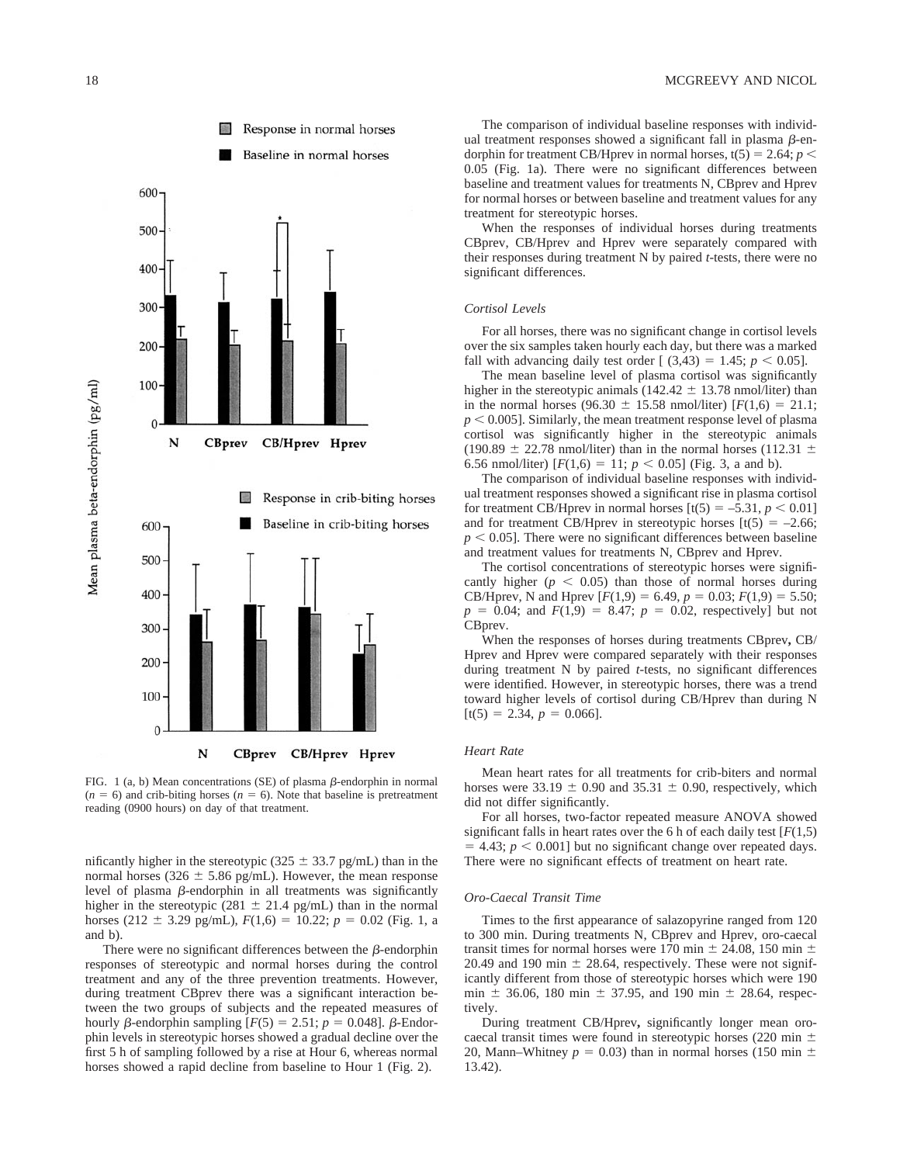

FIG. 1 (a, b) Mean concentrations (SE) of plasma  $\beta$ -endorphin in normal  $(n = 6)$  and crib-biting horses  $(n = 6)$ . Note that baseline is pretreatment reading (0900 hours) on day of that treatment.

nificantly higher in the stereotypic (325  $\pm$  33.7 pg/mL) than in the normal horses (326  $\pm$  5.86 pg/mL). However, the mean response level of plasma  $\beta$ -endorphin in all treatments was significantly higher in the stereotypic (281  $\pm$  21.4 pg/mL) than in the normal horses (212  $\pm$  3.29 pg/mL),  $F(1,6) = 10.22$ ;  $p = 0.02$  (Fig. 1, a and b).

There were no significant differences between the  $\beta$ -endorphin responses of stereotypic and normal horses during the control treatment and any of the three prevention treatments. However, during treatment CBprev there was a significant interaction between the two groups of subjects and the repeated measures of hourly  $\beta$ -endorphin sampling  $[F(5) = 2.51; p = 0.048]$ .  $\beta$ -Endorphin levels in stereotypic horses showed a gradual decline over the first 5 h of sampling followed by a rise at Hour 6, whereas normal horses showed a rapid decline from baseline to Hour 1 (Fig. 2).

The comparison of individual baseline responses with individual treatment responses showed a significant fall in plasma  $\beta$ -endorphin for treatment CB/Hprev in normal horses,  $t(5) = 2.64$ ;  $p <$ 0.05 (Fig. 1a). There were no significant differences between baseline and treatment values for treatments N, CBprev and Hprev for normal horses or between baseline and treatment values for any treatment for stereotypic horses.

When the responses of individual horses during treatments CBprev, CB/Hprev and Hprev were separately compared with their responses during treatment N by paired *t*-tests, there were no significant differences.

## *Cortisol Levels*

For all horses, there was no significant change in cortisol levels over the six samples taken hourly each day, but there was a marked fall with advancing daily test order  $(3,43) = 1.45$ ;  $p < 0.05$ ].

The mean baseline level of plasma cortisol was significantly higher in the stereotypic animals ( $142.42 \pm 13.78$  nmol/liter) than in the normal horses (96.30  $\pm$  15.58 nmol/liter) [ $F(1,6) = 21.1$ ;  $p < 0.005$ ]. Similarly, the mean treatment response level of plasma cortisol was significantly higher in the stereotypic animals (190.89  $\pm$  22.78 nmol/liter) than in the normal horses (112.31  $\pm$ 6.56 nmol/liter)  $[F(1,6) = 11; p < 0.05]$  (Fig. 3, a and b).

The comparison of individual baseline responses with individual treatment responses showed a significant rise in plasma cortisol for treatment CB/Hprev in normal horses  $[t(5) = -5.31, p < 0.01]$ and for treatment CB/Hprev in stereotypic horses  $[t(5) = -2.66;$  $p < 0.05$ ]. There were no significant differences between baseline and treatment values for treatments N, CBprev and Hprev.

The cortisol concentrations of stereotypic horses were significantly higher  $(p < 0.05)$  than those of normal horses during CB/Hprev, N and Hprev  $[F(1,9) = 6.49, p = 0.03; F(1,9) = 5.50;$  $p = 0.04$ ; and  $F(1,9) = 8.47$ ;  $p = 0.02$ , respectively] but not CBprev.

When the responses of horses during treatments CBprev**,** CB/ Hprev and Hprev were compared separately with their responses during treatment N by paired *t*-tests, no significant differences were identified. However, in stereotypic horses, there was a trend toward higher levels of cortisol during CB/Hprev than during N  $[t(5) = 2.34, p = 0.066].$ 

#### *Heart Rate*

Mean heart rates for all treatments for crib-biters and normal horses were 33.19  $\pm$  0.90 and 35.31  $\pm$  0.90, respectively, which did not differ significantly.

For all horses, two-factor repeated measure ANOVA showed significant falls in heart rates over the 6 h of each daily test [*F*(1,5)  $= 4.43$ ;  $p < 0.001$ ] but no significant change over repeated days. There were no significant effects of treatment on heart rate.

## *Oro-Caecal Transit Time*

Times to the first appearance of salazopyrine ranged from 120 to 300 min. During treatments N, CBprev and Hprev, oro-caecal transit times for normal horses were 170 min  $\pm$  24.08, 150 min  $\pm$ 20.49 and 190 min  $\pm$  28.64, respectively. These were not significantly different from those of stereotypic horses which were 190 min  $\pm$  36.06, 180 min  $\pm$  37.95, and 190 min  $\pm$  28.64, respectively.

During treatment CB/Hprev**,** significantly longer mean orocaecal transit times were found in stereotypic horses (220 min  $\pm$ 20, Mann–Whitney  $p = 0.03$ ) than in normal horses (150 min  $\pm$ 13.42).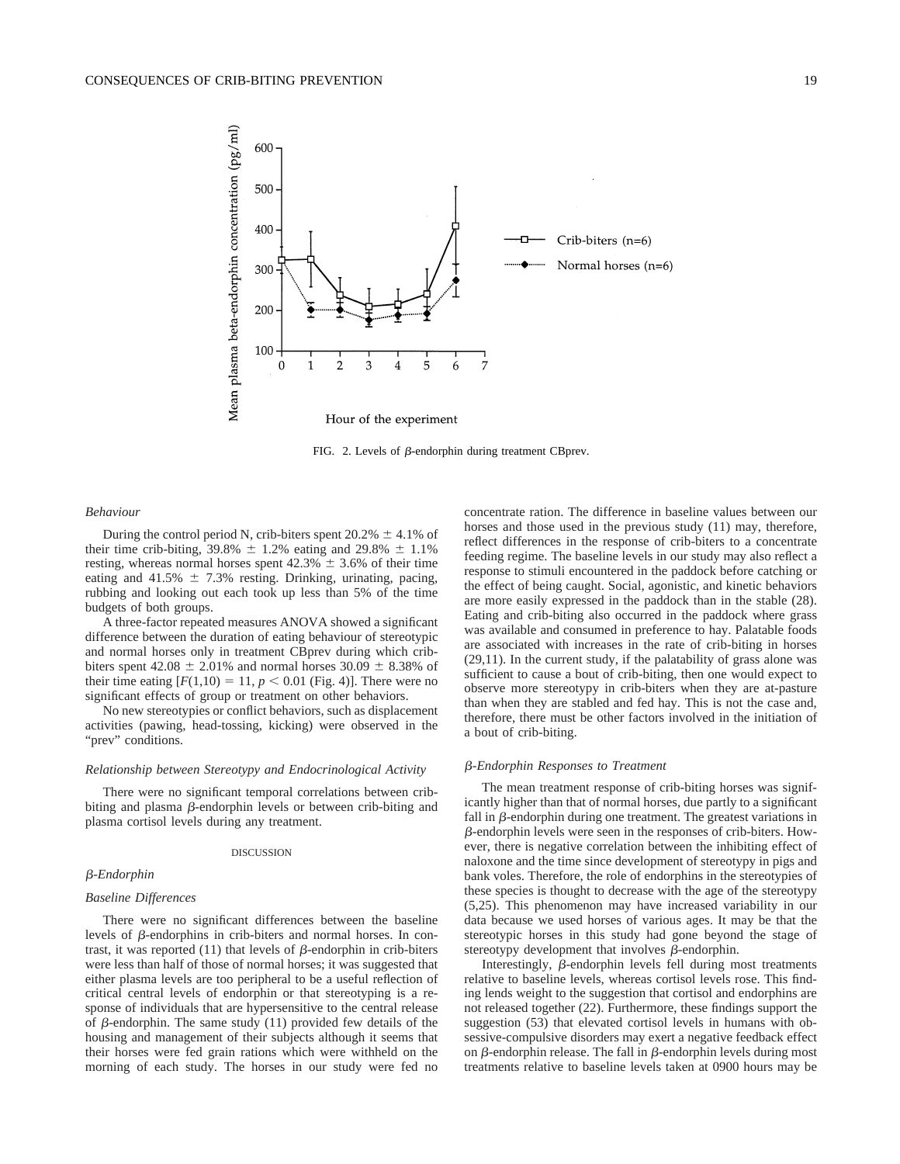

FIG. 2. Levels of  $\beta$ -endorphin during treatment CBprev.

## *Behaviour*

During the control period N, crib-biters spent  $20.2\% \pm 4.1\%$  of their time crib-biting,  $39.8\% \pm 1.2\%$  eating and  $29.8\% \pm 1.1\%$ resting, whereas normal horses spent  $42.3\% \pm 3.6\%$  of their time eating and 41.5%  $\pm$  7.3% resting. Drinking, urinating, pacing, rubbing and looking out each took up less than 5% of the time budgets of both groups.

A three-factor repeated measures ANOVA showed a significant difference between the duration of eating behaviour of stereotypic and normal horses only in treatment CBprev during which cribbiters spent 42.08  $\pm$  2.01% and normal horses 30.09  $\pm$  8.38% of their time eating  $[F(1,10) = 11, p < 0.01$  (Fig. 4)]. There were no significant effects of group or treatment on other behaviors.

No new stereotypies or conflict behaviors, such as displacement activities (pawing, head-tossing, kicking) were observed in the "prev" conditions.

## *Relationship between Stereotypy and Endocrinological Activity*

There were no significant temporal correlations between cribbiting and plasma  $\beta$ -endorphin levels or between crib-biting and plasma cortisol levels during any treatment.

#### DISCUSSION

## b*-Endorphin*

## *Baseline Differences*

There were no significant differences between the baseline levels of  $\beta$ -endorphins in crib-biters and normal horses. In contrast, it was reported  $(11)$  that levels of  $\beta$ -endorphin in crib-biters were less than half of those of normal horses; it was suggested that either plasma levels are too peripheral to be a useful reflection of critical central levels of endorphin or that stereotyping is a response of individuals that are hypersensitive to the central release of  $\beta$ -endorphin. The same study (11) provided few details of the housing and management of their subjects although it seems that their horses were fed grain rations which were withheld on the morning of each study. The horses in our study were fed no

concentrate ration. The difference in baseline values between our horses and those used in the previous study (11) may, therefore, reflect differences in the response of crib-biters to a concentrate feeding regime. The baseline levels in our study may also reflect a response to stimuli encountered in the paddock before catching or the effect of being caught. Social, agonistic, and kinetic behaviors are more easily expressed in the paddock than in the stable (28). Eating and crib-biting also occurred in the paddock where grass was available and consumed in preference to hay. Palatable foods are associated with increases in the rate of crib-biting in horses (29,11). In the current study, if the palatability of grass alone was sufficient to cause a bout of crib-biting, then one would expect to observe more stereotypy in crib-biters when they are at-pasture than when they are stabled and fed hay. This is not the case and, therefore, there must be other factors involved in the initiation of a bout of crib-biting.

## b*-Endorphin Responses to Treatment*

The mean treatment response of crib-biting horses was significantly higher than that of normal horses, due partly to a significant fall in  $\beta$ -endorphin during one treatment. The greatest variations in  $\beta$ -endorphin levels were seen in the responses of crib-biters. However, there is negative correlation between the inhibiting effect of naloxone and the time since development of stereotypy in pigs and bank voles. Therefore, the role of endorphins in the stereotypies of these species is thought to decrease with the age of the stereotypy (5,25). This phenomenon may have increased variability in our data because we used horses of various ages. It may be that the stereotypic horses in this study had gone beyond the stage of stereotypy development that involves  $\beta$ -endorphin.

Interestingly,  $\beta$ -endorphin levels fell during most treatments relative to baseline levels, whereas cortisol levels rose. This finding lends weight to the suggestion that cortisol and endorphins are not released together (22). Furthermore, these findings support the suggestion (53) that elevated cortisol levels in humans with obsessive-compulsive disorders may exert a negative feedback effect on  $\beta$ -endorphin release. The fall in  $\beta$ -endorphin levels during most treatments relative to baseline levels taken at 0900 hours may be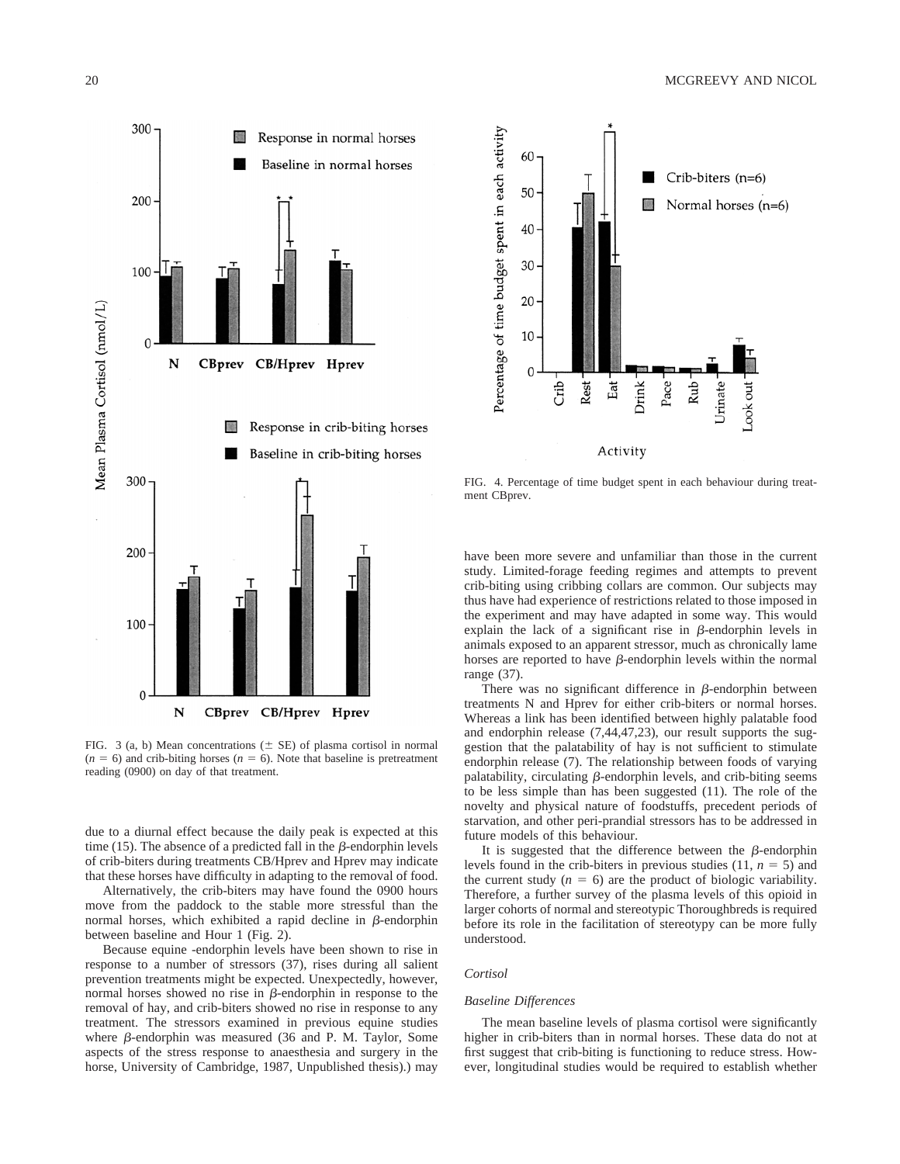

FIG. 3 (a, b) Mean concentrations  $(\pm \text{ SE})$  of plasma cortisol in normal  $(n = 6)$  and crib-biting horses  $(n = 6)$ . Note that baseline is pretreatment reading (0900) on day of that treatment.

due to a diurnal effect because the daily peak is expected at this time (15). The absence of a predicted fall in the  $\beta$ -endorphin levels of crib-biters during treatments CB/Hprev and Hprev may indicate that these horses have difficulty in adapting to the removal of food.

Alternatively, the crib-biters may have found the 0900 hours move from the paddock to the stable more stressful than the normal horses, which exhibited a rapid decline in  $\beta$ -endorphin between baseline and Hour 1 (Fig. 2).

Because equine -endorphin levels have been shown to rise in response to a number of stressors (37), rises during all salient prevention treatments might be expected. Unexpectedly, however, normal horses showed no rise in  $\beta$ -endorphin in response to the removal of hay, and crib-biters showed no rise in response to any treatment. The stressors examined in previous equine studies where  $\beta$ -endorphin was measured (36 and P. M. Taylor, Some aspects of the stress response to anaesthesia and surgery in the horse, University of Cambridge, 1987, Unpublished thesis).) may



FIG. 4. Percentage of time budget spent in each behaviour during treatment CBprev.

have been more severe and unfamiliar than those in the current study. Limited-forage feeding regimes and attempts to prevent crib-biting using cribbing collars are common. Our subjects may thus have had experience of restrictions related to those imposed in the experiment and may have adapted in some way. This would explain the lack of a significant rise in  $\beta$ -endorphin levels in animals exposed to an apparent stressor, much as chronically lame horses are reported to have  $\beta$ -endorphin levels within the normal range (37).

There was no significant difference in  $\beta$ -endorphin between treatments N and Hprev for either crib-biters or normal horses. Whereas a link has been identified between highly palatable food and endorphin release (7,44,47,23), our result supports the suggestion that the palatability of hay is not sufficient to stimulate endorphin release (7). The relationship between foods of varying palatability, circulating  $\beta$ -endorphin levels, and crib-biting seems to be less simple than has been suggested (11). The role of the novelty and physical nature of foodstuffs, precedent periods of starvation, and other peri-prandial stressors has to be addressed in future models of this behaviour.

It is suggested that the difference between the  $\beta$ -endorphin levels found in the crib-biters in previous studies  $(11, n = 5)$  and the current study  $(n = 6)$  are the product of biologic variability. Therefore, a further survey of the plasma levels of this opioid in larger cohorts of normal and stereotypic Thoroughbreds is required before its role in the facilitation of stereotypy can be more fully understood.

## *Cortisol*

## *Baseline Differences*

The mean baseline levels of plasma cortisol were significantly higher in crib-biters than in normal horses. These data do not at first suggest that crib-biting is functioning to reduce stress. However, longitudinal studies would be required to establish whether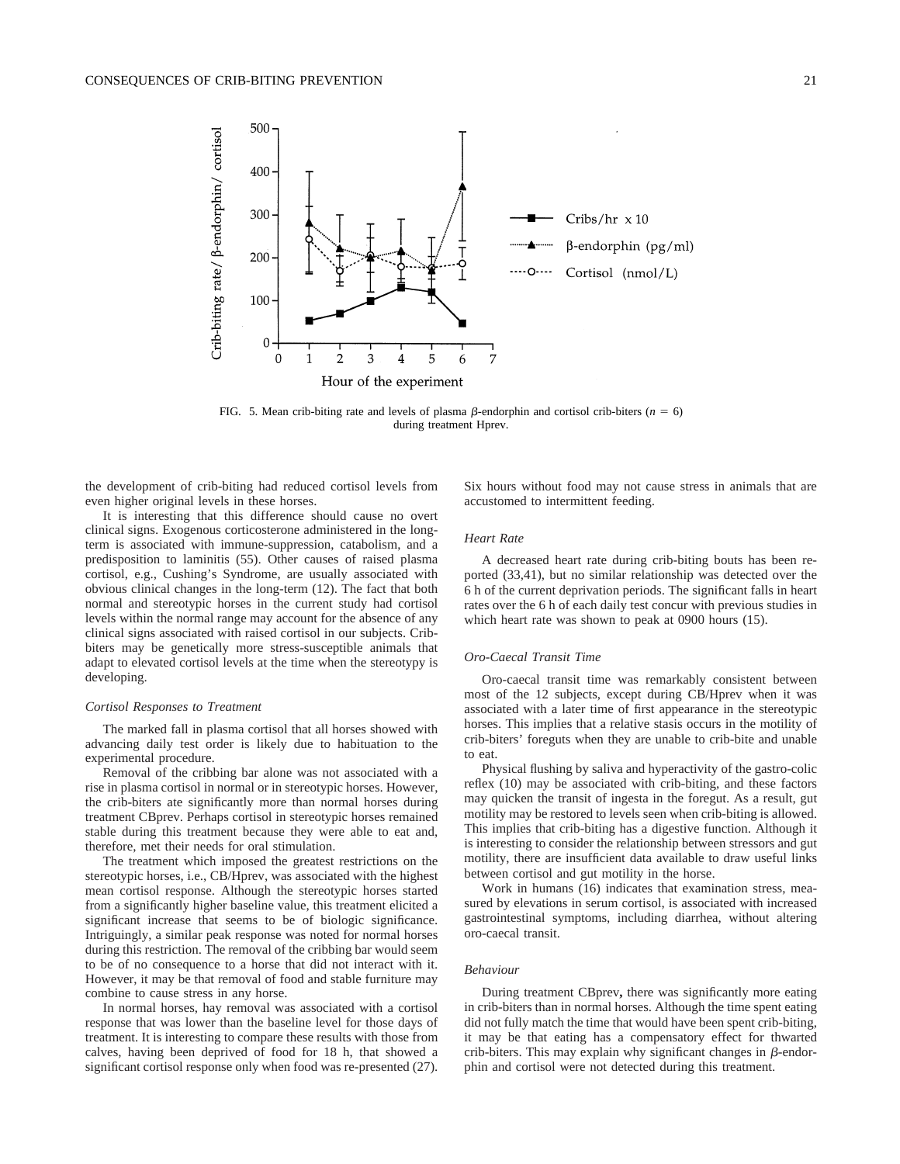

FIG. 5. Mean crib-biting rate and levels of plasma  $\beta$ -endorphin and cortisol crib-biters ( $n = 6$ ) during treatment Hprev.

the development of crib-biting had reduced cortisol levels from even higher original levels in these horses.

It is interesting that this difference should cause no overt clinical signs. Exogenous corticosterone administered in the longterm is associated with immune-suppression, catabolism, and a predisposition to laminitis (55). Other causes of raised plasma cortisol, e.g., Cushing's Syndrome, are usually associated with obvious clinical changes in the long-term (12). The fact that both normal and stereotypic horses in the current study had cortisol levels within the normal range may account for the absence of any clinical signs associated with raised cortisol in our subjects. Cribbiters may be genetically more stress-susceptible animals that adapt to elevated cortisol levels at the time when the stereotypy is developing.

## *Cortisol Responses to Treatment*

The marked fall in plasma cortisol that all horses showed with advancing daily test order is likely due to habituation to the experimental procedure.

Removal of the cribbing bar alone was not associated with a rise in plasma cortisol in normal or in stereotypic horses. However, the crib-biters ate significantly more than normal horses during treatment CBprev. Perhaps cortisol in stereotypic horses remained stable during this treatment because they were able to eat and, therefore, met their needs for oral stimulation.

The treatment which imposed the greatest restrictions on the stereotypic horses, i.e., CB/Hprev, was associated with the highest mean cortisol response. Although the stereotypic horses started from a significantly higher baseline value, this treatment elicited a significant increase that seems to be of biologic significance. Intriguingly, a similar peak response was noted for normal horses during this restriction. The removal of the cribbing bar would seem to be of no consequence to a horse that did not interact with it. However, it may be that removal of food and stable furniture may combine to cause stress in any horse.

In normal horses, hay removal was associated with a cortisol response that was lower than the baseline level for those days of treatment. It is interesting to compare these results with those from calves, having been deprived of food for 18 h, that showed a significant cortisol response only when food was re-presented (27).

Six hours without food may not cause stress in animals that are accustomed to intermittent feeding.

## *Heart Rate*

A decreased heart rate during crib-biting bouts has been reported (33,41), but no similar relationship was detected over the 6 h of the current deprivation periods. The significant falls in heart rates over the 6 h of each daily test concur with previous studies in which heart rate was shown to peak at 0900 hours (15).

## *Oro-Caecal Transit Time*

Oro-caecal transit time was remarkably consistent between most of the 12 subjects, except during CB/Hprev when it was associated with a later time of first appearance in the stereotypic horses. This implies that a relative stasis occurs in the motility of crib-biters' foreguts when they are unable to crib-bite and unable to eat.

Physical flushing by saliva and hyperactivity of the gastro-colic reflex (10) may be associated with crib-biting, and these factors may quicken the transit of ingesta in the foregut. As a result, gut motility may be restored to levels seen when crib-biting is allowed. This implies that crib-biting has a digestive function. Although it is interesting to consider the relationship between stressors and gut motility, there are insufficient data available to draw useful links between cortisol and gut motility in the horse.

Work in humans (16) indicates that examination stress, measured by elevations in serum cortisol, is associated with increased gastrointestinal symptoms, including diarrhea, without altering oro-caecal transit.

## *Behaviour*

During treatment CBprev**,** there was significantly more eating in crib-biters than in normal horses. Although the time spent eating did not fully match the time that would have been spent crib-biting, it may be that eating has a compensatory effect for thwarted crib-biters. This may explain why significant changes in  $\beta$ -endorphin and cortisol were not detected during this treatment.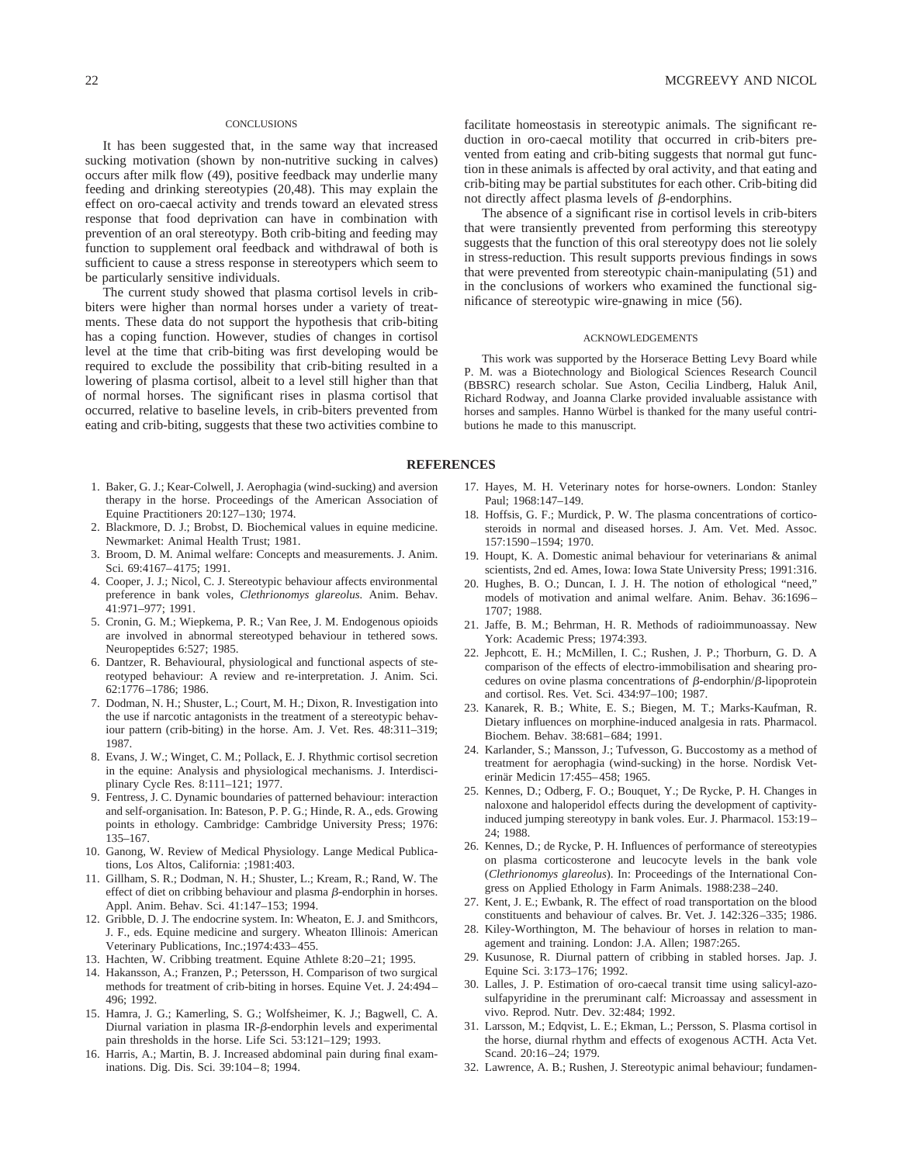#### **CONCLUSIONS**

It has been suggested that, in the same way that increased sucking motivation (shown by non-nutritive sucking in calves) occurs after milk flow (49), positive feedback may underlie many feeding and drinking stereotypies (20,48). This may explain the effect on oro-caecal activity and trends toward an elevated stress response that food deprivation can have in combination with prevention of an oral stereotypy. Both crib-biting and feeding may function to supplement oral feedback and withdrawal of both is sufficient to cause a stress response in stereotypers which seem to be particularly sensitive individuals.

The current study showed that plasma cortisol levels in cribbiters were higher than normal horses under a variety of treatments. These data do not support the hypothesis that crib-biting has a coping function. However, studies of changes in cortisol level at the time that crib-biting was first developing would be required to exclude the possibility that crib-biting resulted in a lowering of plasma cortisol, albeit to a level still higher than that of normal horses. The significant rises in plasma cortisol that occurred, relative to baseline levels, in crib-biters prevented from eating and crib-biting, suggests that these two activities combine to

- 1. Baker, G. J.; Kear-Colwell, J. Aerophagia (wind-sucking) and aversion therapy in the horse. Proceedings of the American Association of Equine Practitioners 20:127–130; 1974.
- 2. Blackmore, D. J.; Brobst, D. Biochemical values in equine medicine. Newmarket: Animal Health Trust; 1981.
- 3. Broom, D. M. Animal welfare: Concepts and measurements. J. Anim. Sci. 69:4167–4175; 1991.
- 4. Cooper, J. J.; Nicol, C. J. Stereotypic behaviour affects environmental preference in bank voles, *Clethrionomys glareolus.* Anim. Behav. 41:971–977; 1991.
- 5. Cronin, G. M.; Wiepkema, P. R.; Van Ree, J. M. Endogenous opioids are involved in abnormal stereotyped behaviour in tethered sows. Neuropeptides 6:527; 1985.
- 6. Dantzer, R. Behavioural, physiological and functional aspects of stereotyped behaviour: A review and re-interpretation. J. Anim. Sci. 62:1776–1786; 1986.
- 7. Dodman, N. H.; Shuster, L.; Court, M. H.; Dixon, R. Investigation into the use if narcotic antagonists in the treatment of a stereotypic behaviour pattern (crib-biting) in the horse. Am. J. Vet. Res. 48:311–319; 1987.
- 8. Evans, J. W.; Winget, C. M.; Pollack, E. J. Rhythmic cortisol secretion in the equine: Analysis and physiological mechanisms. J. Interdisciplinary Cycle Res. 8:111–121; 1977.
- 9. Fentress, J. C. Dynamic boundaries of patterned behaviour: interaction and self-organisation. In: Bateson, P. P. G.; Hinde, R. A., eds. Growing points in ethology. Cambridge: Cambridge University Press; 1976: 135–167.
- 10. Ganong, W. Review of Medical Physiology. Lange Medical Publications, Los Altos, California: ;1981:403.
- 11. Gillham, S. R.; Dodman, N. H.; Shuster, L.; Kream, R.; Rand, W. The effect of diet on cribbing behaviour and plasma  $\beta$ -endorphin in horses. Appl. Anim. Behav. Sci. 41:147–153; 1994.
- 12. Gribble, D. J. The endocrine system. In: Wheaton, E. J. and Smithcors, J. F., eds. Equine medicine and surgery. Wheaton Illinois: American Veterinary Publications, Inc.;1974:433–455.
- 13. Hachten, W. Cribbing treatment. Equine Athlete 8:20–21; 1995.
- 14. Hakansson, A.; Franzen, P.; Petersson, H. Comparison of two surgical methods for treatment of crib-biting in horses. Equine Vet. J. 24:494– 496; 1992.
- 15. Hamra, J. G.; Kamerling, S. G.; Wolfsheimer, K. J.; Bagwell, C. A. Diurnal variation in plasma IR- $\beta$ -endorphin levels and experimental pain thresholds in the horse. Life Sci. 53:121–129; 1993.
- 16. Harris, A.; Martin, B. J. Increased abdominal pain during final examinations. Dig. Dis. Sci. 39:104–8; 1994.

facilitate homeostasis in stereotypic animals. The significant reduction in oro-caecal motility that occurred in crib-biters prevented from eating and crib-biting suggests that normal gut function in these animals is affected by oral activity, and that eating and crib-biting may be partial substitutes for each other. Crib-biting did not directly affect plasma levels of  $\beta$ -endorphins.

The absence of a significant rise in cortisol levels in crib-biters that were transiently prevented from performing this stereotypy suggests that the function of this oral stereotypy does not lie solely in stress-reduction. This result supports previous findings in sows that were prevented from stereotypic chain-manipulating (51) and in the conclusions of workers who examined the functional significance of stereotypic wire-gnawing in mice (56).

## ACKNOWLEDGEMENTS

This work was supported by the Horserace Betting Levy Board while P. M. was a Biotechnology and Biological Sciences Research Council (BBSRC) research scholar. Sue Aston, Cecilia Lindberg, Haluk Anil, Richard Rodway, and Joanna Clarke provided invaluable assistance with horses and samples. Hanno Würbel is thanked for the many useful contributions he made to this manuscript.

## **REFERENCES**

- 17. Hayes, M. H. Veterinary notes for horse-owners. London: Stanley Paul; 1968:147–149.
- 18. Hoffsis, G. F.; Murdick, P. W. The plasma concentrations of corticosteroids in normal and diseased horses. J. Am. Vet. Med. Assoc. 157:1590–1594; 1970.
- 19. Houpt, K. A. Domestic animal behaviour for veterinarians & animal scientists, 2nd ed. Ames, Iowa: Iowa State University Press; 1991:316.
- 20. Hughes, B. O.; Duncan, I. J. H. The notion of ethological "need," models of motivation and animal welfare. Anim. Behav. 36:1696– 1707; 1988.
- 21. Jaffe, B. M.; Behrman, H. R. Methods of radioimmunoassay. New York: Academic Press; 1974:393.
- 22. Jephcott, E. H.; McMillen, I. C.; Rushen, J. P.; Thorburn, G. D. A comparison of the effects of electro-immobilisation and shearing procedures on ovine plasma concentrations of  $\beta$ -endorphin/ $\beta$ -lipoprotein and cortisol. Res. Vet. Sci. 434:97–100; 1987.
- 23. Kanarek, R. B.; White, E. S.; Biegen, M. T.; Marks-Kaufman, R. Dietary influences on morphine-induced analgesia in rats. Pharmacol. Biochem. Behav. 38:681–684; 1991.
- 24. Karlander, S.; Mansson, J.; Tufvesson, G. Buccostomy as a method of treatment for aerophagia (wind-sucking) in the horse. Nordisk Veterinär Medicin 17:455-458; 1965.
- 25. Kennes, D.; Odberg, F. O.; Bouquet, Y.; De Rycke, P. H. Changes in naloxone and haloperidol effects during the development of captivityinduced jumping stereotypy in bank voles. Eur. J. Pharmacol. 153:19– 24; 1988.
- 26. Kennes, D.; de Rycke, P. H. Influences of performance of stereotypies on plasma corticosterone and leucocyte levels in the bank vole (*Clethrionomys glareolus*). In: Proceedings of the International Congress on Applied Ethology in Farm Animals. 1988:238–240.
- 27. Kent, J. E.; Ewbank, R. The effect of road transportation on the blood constituents and behaviour of calves. Br. Vet. J. 142:326–335; 1986.
- 28. Kiley-Worthington, M. The behaviour of horses in relation to management and training. London: J.A. Allen; 1987:265.
- 29. Kusunose, R. Diurnal pattern of cribbing in stabled horses. Jap. J. Equine Sci. 3:173–176; 1992.
- 30. Lalles, J. P. Estimation of oro-caecal transit time using salicyl-azosulfapyridine in the preruminant calf: Microassay and assessment in vivo. Reprod. Nutr. Dev. 32:484; 1992.
- 31. Larsson, M.; Edqvist, L. E.; Ekman, L.; Persson, S. Plasma cortisol in the horse, diurnal rhythm and effects of exogenous ACTH. Acta Vet. Scand. 20:16–24; 1979.
- 32. Lawrence, A. B.; Rushen, J. Stereotypic animal behaviour; fundamen-